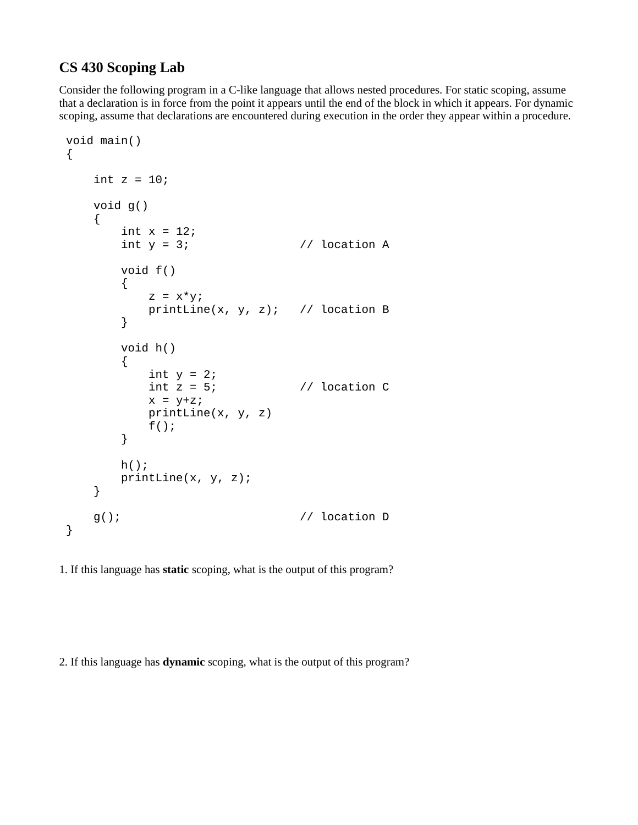## **CS 430 Scoping Lab**

Consider the following program in a C-like language that allows nested procedures. For static scoping, assume that a declaration is in force from the point it appears until the end of the block in which it appears. For dynamic scoping, assume that declarations are encountered during execution in the order they appear within a procedure.

```
 void main()
 {
    int z = 10;
     void g()
     {
        int x = 12;
        int y = 3; \frac{1}{2} // location A
         void f()
         {
            z = x^*y;printLine(x, y, z); // location B
         }
         void h()
         {
            int y = 2;<br>int z = 5;
                             \frac{1}{2} location C
            x = y + z;
             printLine(x, y, z)
            f();
         }
        h();
         printLine(x, y, z);
     }
     g(); // location D
 }
```
1. If this language has **static** scoping, what is the output of this program?

2. If this language has **dynamic** scoping, what is the output of this program?